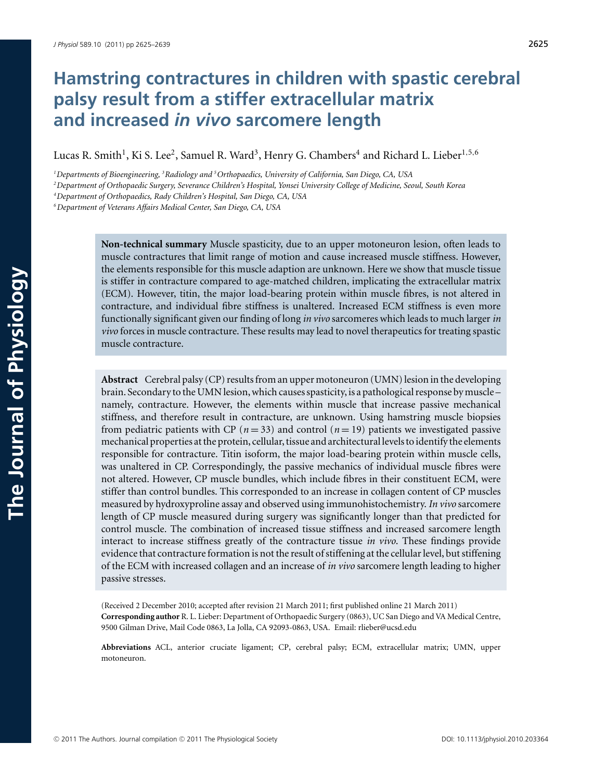# **Hamstring contractures in children with spastic cerebral palsy result from a stiffer extracellular matrix and increased** *in vivo* **sarcomere length**

Lucas R. Smith<sup>1</sup>, Ki S. Lee<sup>2</sup>, Samuel R. Ward<sup>3</sup>, Henry G. Chambers<sup>4</sup> and Richard L. Lieber<sup>1,5,6</sup>

*1 Departments of Bioengineering, <sup>3</sup> Radiology and <sup>5</sup> Orthopaedics, University of California, San Diego, CA, USA*

*2 Department of Orthopaedic Surgery, Severance Children's Hospital, Yonsei University College of Medicine, Seoul, South Korea*

*4 Department of Orthopaedics, Rady Children's Hospital, San Diego, CA, USA*

*6Department of Veterans Affairs Medical Center, San Diego, CA, USA*

**Non-technical summary** Muscle spasticity, due to an upper motoneuron lesion, often leads to muscle contractures that limit range of motion and cause increased muscle stiffness. However, the elements responsible for this muscle adaption are unknown. Here we show that muscle tissue is stiffer in contracture compared to age-matched children, implicating the extracellular matrix (ECM). However, titin, the major load-bearing protein within muscle fibres, is not altered in contracture, and individual fibre stiffness is unaltered. Increased ECM stiffness is even more functionally significant given our finding of long *in vivo* sarcomeres which leads to much larger *in vivo* forces in muscle contracture. These results may lead to novel therapeutics for treating spastic muscle contracture.

**Abstract** Cerebral palsy (CP) results from an upper motoneuron (UMN) lesion in the developing brain. Secondary to the UMN lesion, which causes spasticity, is a pathological response by muscle – namely, contracture. However, the elements within muscle that increase passive mechanical stiffness, and therefore result in contracture, are unknown. Using hamstring muscle biopsies from pediatric patients with CP ( $n = 33$ ) and control ( $n = 19$ ) patients we investigated passive mechanical properties at the protein, cellular, tissue and architectural levels to identify the elements responsible for contracture. Titin isoform, the major load-bearing protein within muscle cells, was unaltered in CP. Correspondingly, the passive mechanics of individual muscle fibres were not altered. However, CP muscle bundles, which include fibres in their constituent ECM, were stiffer than control bundles. This corresponded to an increase in collagen content of CP muscles measured by hydroxyproline assay and observed using immunohistochemistry. *In vivo* sarcomere length of CP muscle measured during surgery was significantly longer than that predicted for control muscle. The combination of increased tissue stiffness and increased sarcomere length interact to increase stiffness greatly of the contracture tissue *in vivo*. These findings provide evidence that contracture formation is not the result of stiffening at the cellular level, but stiffening of the ECM with increased collagen and an increase of *in vivo* sarcomere length leading to higher passive stresses.

(Received 2 December 2010; accepted after revision 21 March 2011; first published online 21 March 2011) **Corresponding author** R. L. Lieber: Department of Orthopaedic Surgery (0863), UC San Diego and VA Medical Centre, 9500 Gilman Drive, Mail Code 0863, La Jolla, CA 92093-0863, USA. Email: rlieber@ucsd.edu

**Abbreviations** ACL, anterior cruciate ligament; CP, cerebral palsy; ECM, extracellular matrix; UMN, upper motoneuron.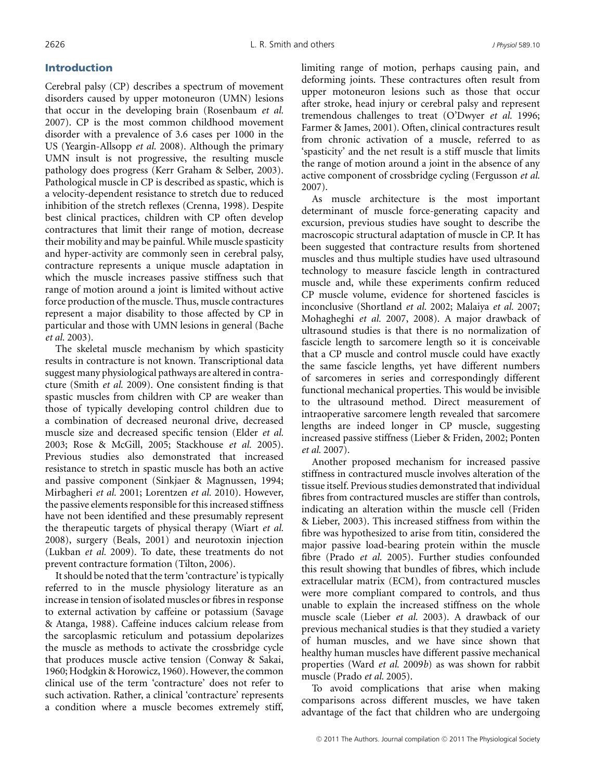# Introduction

Cerebral palsy (CP) describes a spectrum of movement disorders caused by upper motoneuron (UMN) lesions that occur in the developing brain (Rosenbaum *et al.* 2007). CP is the most common childhood movement disorder with a prevalence of 3.6 cases per 1000 in the US (Yeargin-Allsopp *et al.* 2008). Although the primary UMN insult is not progressive, the resulting muscle pathology does progress (Kerr Graham & Selber, 2003). Pathological muscle in CP is described as spastic, which is a velocity-dependent resistance to stretch due to reduced inhibition of the stretch reflexes (Crenna, 1998). Despite best clinical practices, children with CP often develop contractures that limit their range of motion, decrease their mobility and may be painful. While muscle spasticity and hyper-activity are commonly seen in cerebral palsy, contracture represents a unique muscle adaptation in which the muscle increases passive stiffness such that range of motion around a joint is limited without active force production of the muscle. Thus, muscle contractures represent a major disability to those affected by CP in particular and those with UMN lesions in general (Bache *et al.* 2003).

The skeletal muscle mechanism by which spasticity results in contracture is not known. Transcriptional data suggest many physiological pathways are altered in contracture (Smith *et al.* 2009). One consistent finding is that spastic muscles from children with CP are weaker than those of typically developing control children due to a combination of decreased neuronal drive, decreased muscle size and decreased specific tension (Elder *et al.* 2003; Rose & McGill, 2005; Stackhouse *et al.* 2005). Previous studies also demonstrated that increased resistance to stretch in spastic muscle has both an active and passive component (Sinkjaer & Magnussen, 1994; Mirbagheri *et al.* 2001; Lorentzen *et al.* 2010). However, the passive elements responsible for this increased stiffness have not been identified and these presumably represent the therapeutic targets of physical therapy (Wiart *et al.* 2008), surgery (Beals, 2001) and neurotoxin injection (Lukban *et al.* 2009). To date, these treatments do not prevent contracture formation (Tilton, 2006).

It should be noted that the term 'contracture' is typically referred to in the muscle physiology literature as an increase in tension of isolated muscles or fibres in response to external activation by caffeine or potassium (Savage & Atanga, 1988). Caffeine induces calcium release from the sarcoplasmic reticulum and potassium depolarizes the muscle as methods to activate the crossbridge cycle that produces muscle active tension (Conway & Sakai, 1960; Hodgkin & Horowicz, 1960). However, the common clinical use of the term 'contracture' does not refer to such activation. Rather, a clinical 'contracture' represents a condition where a muscle becomes extremely stiff, limiting range of motion, perhaps causing pain, and deforming joints. These contractures often result from upper motoneuron lesions such as those that occur after stroke, head injury or cerebral palsy and represent tremendous challenges to treat (O'Dwyer *et al.* 1996; Farmer & James, 2001). Often, clinical contractures result from chronic activation of a muscle, referred to as 'spasticity' and the net result is a stiff muscle that limits the range of motion around a joint in the absence of any active component of crossbridge cycling (Fergusson *et al.* 2007).

As muscle architecture is the most important determinant of muscle force-generating capacity and excursion, previous studies have sought to describe the macroscopic structural adaptation of muscle in CP. It has been suggested that contracture results from shortened muscles and thus multiple studies have used ultrasound technology to measure fascicle length in contractured muscle and, while these experiments confirm reduced CP muscle volume, evidence for shortened fascicles is inconclusive (Shortland *et al.* 2002; Malaiya *et al.* 2007; Mohagheghi *et al.* 2007, 2008). A major drawback of ultrasound studies is that there is no normalization of fascicle length to sarcomere length so it is conceivable that a CP muscle and control muscle could have exactly the same fascicle lengths, yet have different numbers of sarcomeres in series and correspondingly different functional mechanical properties. This would be invisible to the ultrasound method. Direct measurement of intraoperative sarcomere length revealed that sarcomere lengths are indeed longer in CP muscle, suggesting increased passive stiffness (Lieber & Friden, 2002; Ponten *et al.* 2007).

Another proposed mechanism for increased passive stiffness in contractured muscle involves alteration of the tissue itself. Previous studies demonstrated that individual fibres from contractured muscles are stiffer than controls, indicating an alteration within the muscle cell (Friden & Lieber, 2003). This increased stiffness from within the fibre was hypothesized to arise from titin, considered the major passive load-bearing protein within the muscle fibre (Prado *et al.* 2005). Further studies confounded this result showing that bundles of fibres, which include extracellular matrix (ECM), from contractured muscles were more compliant compared to controls, and thus unable to explain the increased stiffness on the whole muscle scale (Lieber *et al.* 2003). A drawback of our previous mechanical studies is that they studied a variety of human muscles, and we have since shown that healthy human muscles have different passive mechanical properties (Ward *et al.* 2009*b*) as was shown for rabbit muscle (Prado *et al.* 2005).

To avoid complications that arise when making comparisons across different muscles, we have taken advantage of the fact that children who are undergoing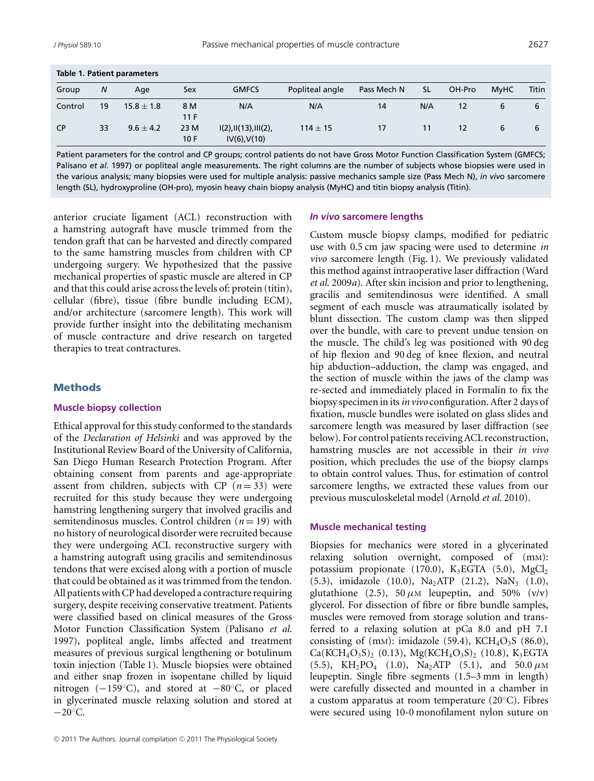| Table 1. Patient parameters |                  |                |              |                                            |                 |             |           |        |             |              |
|-----------------------------|------------------|----------------|--------------|--------------------------------------------|-----------------|-------------|-----------|--------|-------------|--------------|
| Group                       | $\boldsymbol{N}$ | Age            | Sex          | <b>GMFCS</b>                               | Popliteal angle | Pass Mech N | <b>SL</b> | OH-Pro | <b>MvHC</b> | <b>Titin</b> |
| Control                     | 19               | $15.8 \pm 1.8$ | 8 M<br>11 F  | N/A                                        | N/A             | 14          | N/A       | 12     | 6           | 6            |
| <b>CP</b>                   | 33               | $9.6 \pm 4.2$  | 23 M<br>10 F | I(2), II(13), III(2),<br>$IV(6)$ , $V(10)$ | $114 \pm 15$    | 17          | 11        | 12     | 6           | 6            |

Patient parameters for the control and CP groups; control patients do not have Gross Motor Function Classification System (GMFCS; Palisano *et al.* 1997) or popliteal angle measurements. The right columns are the number of subjects whose biopsies were used in the various analysis; many biopsies were used for multiple analysis: passive mechanics sample size (Pass Mech N), *in vivo* sarcomere length (SL), hydroxyproline (OH-pro), myosin heavy chain biopsy analysis (MyHC) and titin biopsy analysis (Titin).

anterior cruciate ligament (ACL) reconstruction with a hamstring autograft have muscle trimmed from the tendon graft that can be harvested and directly compared to the same hamstring muscles from children with CP undergoing surgery. We hypothesized that the passive mechanical properties of spastic muscle are altered in CP and that this could arise across the levels of: protein (titin), cellular (fibre), tissue (fibre bundle including ECM), and/or architecture (sarcomere length). This work will provide further insight into the debilitating mechanism of muscle contracture and drive research on targeted therapies to treat contractures.

# Methods

#### **Muscle biopsy collection**

Ethical approval for this study conformed to the standards of the *Declaration of Helsinki* and was approved by the Institutional Review Board of the University of California, San Diego Human Research Protection Program. After obtaining consent from parents and age-appropriate assent from children, subjects with CP  $(n=33)$  were recruited for this study because they were undergoing hamstring lengthening surgery that involved gracilis and semitendinosus muscles. Control children  $(n = 19)$  with no history of neurological disorder were recruited because they were undergoing ACL reconstructive surgery with a hamstring autograft using gracilis and semitendinosus tendons that were excised along with a portion of muscle that could be obtained as it was trimmed from the tendon. All patients with CP had developed a contracture requiring surgery, despite receiving conservative treatment. Patients were classified based on clinical measures of the Gross Motor Function Classification System (Palisano *et al.* 1997), popliteal angle, limbs affected and treatment measures of previous surgical lengthening or botulinum toxin injection (Table 1). Muscle biopsies were obtained and either snap frozen in isopentane chilled by liquid nitrogen (−159◦C), and stored at −80◦C, or placed in glycerinated muscle relaxing solution and stored at  $-20^{\circ}$ C.

#### *In vivo* **sarcomere lengths**

Custom muscle biopsy clamps, modified for pediatric use with 0.5 cm jaw spacing were used to determine *in vivo* sarcomere length (Fig. 1). We previously validated this method against intraoperative laser diffraction (Ward *et al.* 2009*a*). After skin incision and prior to lengthening, gracilis and semitendinosus were identified. A small segment of each muscle was atraumatically isolated by blunt dissection. The custom clamp was then slipped over the bundle, with care to prevent undue tension on the muscle. The child's leg was positioned with 90 deg of hip flexion and 90 deg of knee flexion, and neutral hip abduction–adduction, the clamp was engaged, and the section of muscle within the jaws of the clamp was re-sected and immediately placed in Formalin to fix the biopsy specimen in its*in vivo* configuration. After 2 days of fixation, muscle bundles were isolated on glass slides and sarcomere length was measured by laser diffraction (see below). For control patients receiving ACL reconstruction, hamstring muscles are not accessible in their *in vivo* position, which precludes the use of the biopsy clamps to obtain control values. Thus, for estimation of control sarcomere lengths, we extracted these values from our previous musculoskeletal model (Arnold *et al.* 2010).

#### **Muscle mechanical testing**

Biopsies for mechanics were stored in a glycerinated relaxing solution overnight, composed of (mM): potassium propionate (170.0),  $K_3EGTA$  (5.0),  $MgCl_2$  $(5.3)$ , imidazole  $(10.0)$ , Na<sub>2</sub>ATP  $(21.2)$ , NaN<sub>3</sub>  $(1.0)$ , glutathione (2.5), 50  $\mu$ M leupeptin, and 50% (v/v) glycerol. For dissection of fibre or fibre bundle samples, muscles were removed from storage solution and transferred to a relaxing solution at pCa 8.0 and pH 7.1 consisting of (mM): imidazole (59.4), KCH<sub>4</sub>O<sub>3</sub>S (86.0),  $Ca(KCH_4O_3S)_2$  (0.13), Mg(KCH<sub>4</sub>O<sub>3</sub>S)<sub>2</sub> (10.8), K<sub>3</sub>EGTA (5.5),  $KH_2PO_4$  (1.0), Na<sub>2</sub>ATP (5.1), and 50.0  $\mu$ M leupeptin. Single fibre segments (1.5–3 mm in length) were carefully dissected and mounted in a chamber in a custom apparatus at room temperature (20◦C). Fibres were secured using 10-0 monofilament nylon suture on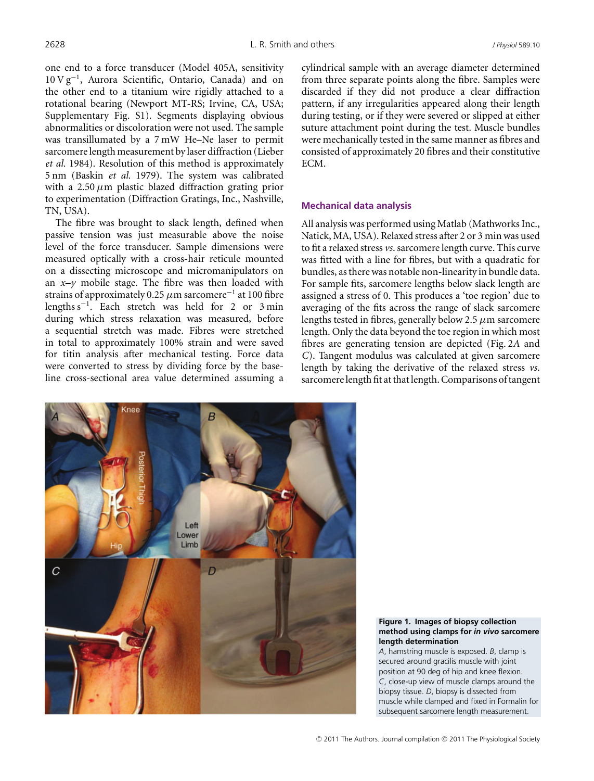one end to a force transducer (Model 405A, sensitivity 10 V g−1, Aurora Scientific, Ontario, Canada) and on the other end to a titanium wire rigidly attached to a rotational bearing (Newport MT-RS; Irvine, CA, USA; Supplementary Fig. S1). Segments displaying obvious abnormalities or discoloration were not used. The sample was transillumated by a 7 mW He–Ne laser to permit sarcomere length measurement by laser diffraction (Lieber *et al.* 1984). Resolution of this method is approximately 5 nm (Baskin *et al.* 1979). The system was calibrated with a  $2.50 \mu m$  plastic blazed diffraction grating prior to experimentation (Diffraction Gratings, Inc., Nashville, TN, USA).

The fibre was brought to slack length, defined when passive tension was just measurable above the noise level of the force transducer. Sample dimensions were measured optically with a cross-hair reticule mounted on a dissecting microscope and micromanipulators on an *x*–*y* mobile stage. The fibre was then loaded with strains of approximately 0.25  $\mu$ m sarcomere<sup>-1</sup> at 100 fibre lengths s−1. Each stretch was held for 2 or 3 min during which stress relaxation was measured, before a sequential stretch was made. Fibres were stretched in total to approximately 100% strain and were saved for titin analysis after mechanical testing. Force data were converted to stress by dividing force by the baseline cross-sectional area value determined assuming a cylindrical sample with an average diameter determined from three separate points along the fibre. Samples were discarded if they did not produce a clear diffraction pattern, if any irregularities appeared along their length during testing, or if they were severed or slipped at either suture attachment point during the test. Muscle bundles were mechanically tested in the same manner as fibres and consisted of approximately 20 fibres and their constitutive ECM.

# **Mechanical data analysis**

All analysis was performed using Matlab (Mathworks Inc., Natick, MA, USA). Relaxed stress after 2 or 3 min was used to fit a relaxed stress *vs*. sarcomere length curve. This curve was fitted with a line for fibres, but with a quadratic for bundles, as there was notable non-linearity in bundle data. For sample fits, sarcomere lengths below slack length are assigned a stress of 0. This produces a 'toe region' due to averaging of the fits across the range of slack sarcomere lengths tested in fibres, generally below 2.5  $\mu$ m sarcomere length. Only the data beyond the toe region in which most fibres are generating tension are depicted (Fig. 2*A* and *C*). Tangent modulus was calculated at given sarcomere length by taking the derivative of the relaxed stress *vs*. sarcomere length fit at that length. Comparisons of tangent



#### **Figure 1. Images of biopsy collection method using clamps for** *in vivo* **sarcomere length determination**

*A*, hamstring muscle is exposed. *B*, clamp is secured around gracilis muscle with joint position at 90 deg of hip and knee flexion. *C*, close-up view of muscle clamps around the biopsy tissue. *D*, biopsy is dissected from muscle while clamped and fixed in Formalin for subsequent sarcomere length measurement.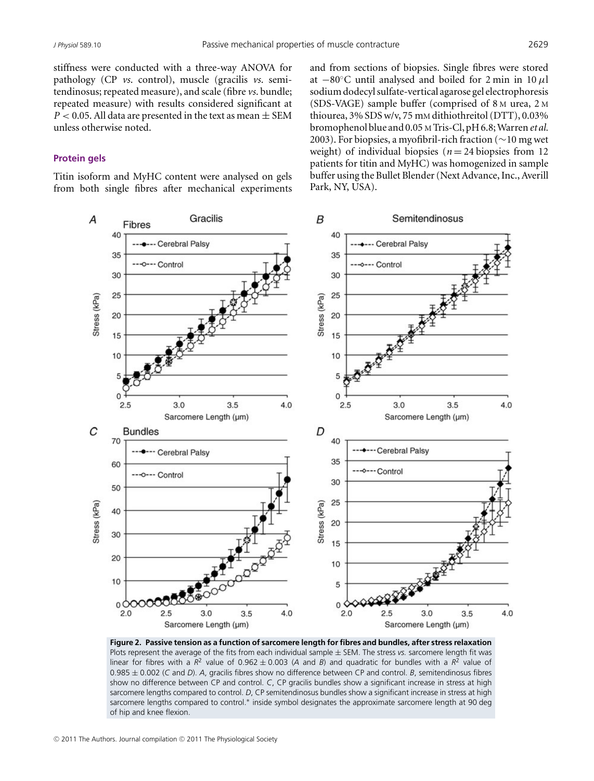stiffness were conducted with a three-way ANOVA for pathology (CP *vs*. control), muscle (gracilis *vs*. semitendinosus; repeated measure), and scale (fibre *vs*. bundle; repeated measure) with results considered significant at  $P < 0.05$ . All data are presented in the text as mean  $\pm$  SEM unless otherwise noted.

# **Protein gels**

Titin isoform and MyHC content were analysed on gels from both single fibres after mechanical experiments and from sections of biopsies. Single fibres were stored at  $-80^\circ$ C until analysed and boiled for 2 min in 10  $\mu$ l sodium dodecyl sulfate-vertical agarose gel electrophoresis (SDS-VAGE) sample buffer (comprised of 8 M urea, 2 M thiourea, 3% SDS w/v, 75 mM dithiothreitol (DTT), 0.03% bromophenol blue and 0.05 <sub>M</sub> Tris-Cl, pH 6.8; Warren et al. 2003). For biopsies, a myofibril-rich fraction (∼10 mg wet weight) of individual biopsies ( $n = 24$  biopsies from 12 patients for titin and MyHC) was homogenized in sample buffer using the Bullet Blender (Next Advance, Inc., Averill Park, NY, USA).



**Figure 2. Passive tension as a function of sarcomere length for fibres and bundles, after stress relaxation** Plots represent the average of the fits from each individual sample ± SEM. The stress *vs.* sarcomere length fit was linear for fibres with a  $R^2$  value of 0.962  $\pm$  0.003 (A and *B*) and quadratic for bundles with a  $R^2$  value of 0.985 ± 0.002 (*C* and *D*). *A*, gracilis fibres show no difference between CP and control. *B*, semitendinosus fibres show no difference between CP and control. *C*, CP gracilis bundles show a significant increase in stress at high sarcomere lengths compared to control. *D*, CP semitendinosus bundles show a significant increase in stress at high sarcomere lengths compared to control.\* inside symbol designates the approximate sarcomere length at 90 deg of hip and knee flexion.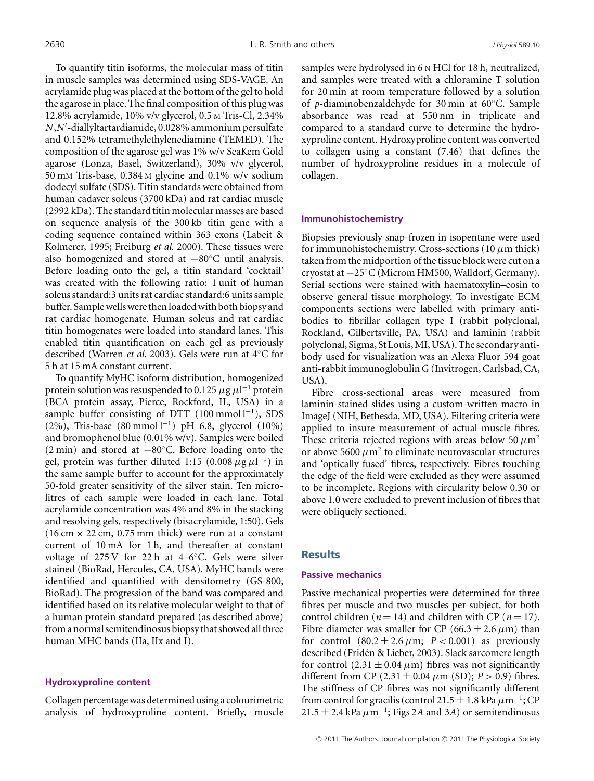To quantify titin isoforms, the molecular mass of titin in muscle samples was determined using SDS-VAGE. An acrylamide plug was placed at the bottom of the gel to hold the agarose in place. The final composition of this plug was 12.8% acrylamide, 10% v/v glycerol, 0.5 M Tris-Cl, 2.34% *N*,*N* -diallyltartardiamide, 0.028% ammonium persulfate and 0.152% tetramethylethylenediamine (TEMED). The composition of the agarose gel was 1% w/v SeaKem Gold agarose (Lonza, Basel, Switzerland), 30% v/v glycerol, 50 mM Tris-base, 0.384 M glycine and 0.1% w/v sodium dodecyl sulfate (SDS). Titin standards were obtained from human cadaver soleus (3700 kDa) and rat cardiac muscle (2992 kDa). The standard titin molecular masses are based on sequence analysis of the 300 kb titin gene with a coding sequence contained within 363 exons (Labeit & Kolmerer, 1995; Freiburg *et al.* 2000). These tissues were also homogenized and stored at −80◦C until analysis. Before loading onto the gel, a titin standard 'cocktail' was created with the following ratio: 1 unit of human soleus standard:3 units rat cardiac standard:6 units sample buffer. Samplewellswere then loadedwith both biopsy and rat cardiac homogenate. Human soleus and rat cardiac titin homogenates were loaded into standard lanes. This enabled titin quantification on each gel as previously described (Warren *et al.* 2003). Gels were run at 4◦C for 5 h at 15 mA constant current.

To quantify MyHC isoform distribution, homogenized protein solution was resuspended to 0.125  $\mu$ g  $\mu$ l $^{-1}$  protein (BCA protein assay, Pierce, Rockford, IL, USA) in a sample buffer consisting of DTT (100 mmol l<sup>-1</sup>), SDS (2%), Tris-base (80 mmol l−1) pH 6.8, glycerol (10%) and bromophenol blue (0.01% w/v). Samples were boiled (2 min) and stored at −80◦C. Before loading onto the gel, protein was further diluted 1:15  $(0.008 \,\mu g \,\mu l^{-1})$  in the same sample buffer to account for the approximately 50-fold greater sensitivity of the silver stain. Ten microlitres of each sample were loaded in each lane. Total acrylamide concentration was 4% and 8% in the stacking and resolving gels, respectively (bisacrylamide, 1:50). Gels  $(16 \text{ cm} \times 22 \text{ cm}, 0.75 \text{ mm}$  thick) were run at a constant current of 10 mA for 1 h, and thereafter at constant voltage of 275 V for 22 h at 4–6 $°C$ . Gels were silver stained (BioRad, Hercules, CA, USA). MyHC bands were identified and quantified with densitometry (GS-800, BioRad). The progression of the band was compared and identified based on its relative molecular weight to that of a human protein standard prepared (as described above) from a normal semitendinosus biopsy that showed all three human MHC bands (IIa, IIx and I).

#### **Hydroxyproline content**

Collagen percentage was determined using a colourimetric analysis of hydroxyproline content. Briefly, muscle samples were hydrolysed in 6 N HCl for 18 h, neutralized, and samples were treated with a chloramine T solution for 20 min at room temperature followed by a solution of *p*-diaminobenzaldehyde for 30 min at 60◦C. Sample absorbance was read at 550 nm in triplicate and compared to a standard curve to determine the hydroxyproline content. Hydroxyproline content was converted to collagen using a constant (7.46) that defines the number of hydroxyproline residues in a molecule of collagen.

#### **Immunohistochemistry**

Biopsies previously snap-frozen in isopentane were used for immunohistochemistry. Cross-sections (10  $\mu$ m thick) taken from the midportion of the tissue block were cut on a cryostat at −25◦C (Microm HM500, Walldorf, Germany). Serial sections were stained with haematoxylin–eosin to observe general tissue morphology. To investigate ECM components sections were labelled with primary antibodies to fibrillar collagen type I (rabbit polyclonal, Rockland, Gilbertsville, PA, USA) and laminin (rabbit polyclonal, Sigma, St Louis, MI, USA). The secondary antibody used for visualization was an Alexa Fluor 594 goat anti-rabbit immunoglobulin G (Invitrogen, Carlsbad, CA, USA).

Fibre cross-sectional areas were measured from laminin-stained slides using a custom-written macro in ImageJ (NIH, Bethesda, MD, USA). Filtering criteria were applied to insure measurement of actual muscle fibres. These criteria rejected regions with areas below 50  $\mu$ m<sup>2</sup> or above 5600  $\mu$ m<sup>2</sup> to eliminate neurovascular structures and 'optically fused' fibres, respectively. Fibres touching the edge of the field were excluded as they were assumed to be incomplete. Regions with circularity below 0.30 or above 1.0 were excluded to prevent inclusion of fibres that were obliquely sectioned.

# **Results**

# **Passive mechanics**

Passive mechanical properties were determined for three fibres per muscle and two muscles per subject, for both control children ( $n = 14$ ) and children with CP ( $n = 17$ ). Fibre diameter was smaller for CP (66.3  $\pm$  2.6  $\mu$ m) than for control  $(80.2 \pm 2.6 \,\mu\text{m}; P < 0.001)$  as previously described (Friden & Lieber, 2003). Slack sarcomere length ´ for control  $(2.31 \pm 0.04 \,\mu\text{m})$  fibres was not significantly different from CP  $(2.31 \pm 0.04 \,\mu m$  (SD);  $P > 0.9$ ) fibres. The stiffness of CP fibres was not significantly different from control for gracilis (control 21.5  $\pm$  1.8 kPa  $\mu$ m<sup>-1</sup>; CP  $21.5 \pm 2.4$  kPa  $\mu$ m<sup>-1</sup>; Figs 2A and 3A) or semitendinosus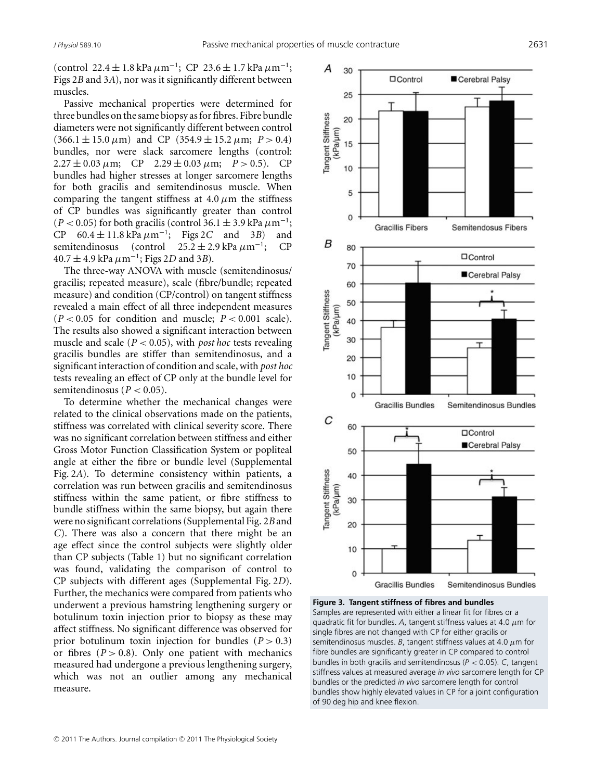(control 22.4 ± 1.8 kPa  $\mu$ m<sup>-1</sup>; CP 23.6 ± 1.7 kPa  $\mu$ m<sup>-1</sup>; Figs 2*B* and 3*A*), nor was it significantly different between muscles.

Passive mechanical properties were determined for three bundles on the same biopsy as for fibres. Fibre bundle diameters were not significantly different between control  $(366.1 \pm 15.0 \,\mu\text{m})$  and CP  $(354.9 \pm 15.2 \,\mu\text{m}; P > 0.4)$ bundles, nor were slack sarcomere lengths (control:  $2.27 \pm 0.03 \,\mu \text{m}$ ; CP  $2.29 \pm 0.03 \,\mu \text{m}$ ;  $P > 0.5$ ). CP bundles had higher stresses at longer sarcomere lengths for both gracilis and semitendinosus muscle. When comparing the tangent stiffness at  $4.0 \mu m$  the stiffness of CP bundles was significantly greater than control  $(P < 0.05)$  for both gracilis (control 36.1 ± 3.9 kPa  $\mu$ m<sup>-1</sup>;<br>CP 60.4 ± 11.8 kPa  $\mu$ m<sup>-1</sup>; Figs 2*C* and 3*B*) and CP 60.4 ± 11.8 kPa  $\mu$ m<sup>-1</sup>; Figs 2*C* and 3*B*) and<br>semitendinosus (control 25.2 ± 2.9 kPa  $\mu$ m<sup>-1</sup>; CP semitendinosus (control 25.2 ± 2.9 kPa  $\mu$ m<sup>-1</sup>; 40.7 ± 4.9 kPa μm−1; Figs 2*D* and 3*B*).

The three-way ANOVA with muscle (semitendinosus/ gracilis; repeated measure), scale (fibre/bundle; repeated measure) and condition (CP/control) on tangent stiffness revealed a main effect of all three independent measures  $(P < 0.05$  for condition and muscle;  $P < 0.001$  scale). The results also showed a significant interaction between muscle and scale  $(P < 0.05)$ , with *post hoc* tests revealing gracilis bundles are stiffer than semitendinosus, and a significant interaction of condition and scale, with *post hoc* tests revealing an effect of CP only at the bundle level for semitendinosus ( $P < 0.05$ ).

To determine whether the mechanical changes were related to the clinical observations made on the patients, stiffness was correlated with clinical severity score. There was no significant correlation between stiffness and either Gross Motor Function Classification System or popliteal angle at either the fibre or bundle level (Supplemental Fig. 2*A*). To determine consistency within patients, a correlation was run between gracilis and semitendinosus stiffness within the same patient, or fibre stiffness to bundle stiffness within the same biopsy, but again there were no significant correlations (Supplemental Fig. 2*B* and *C*). There was also a concern that there might be an age effect since the control subjects were slightly older than CP subjects (Table 1) but no significant correlation was found, validating the comparison of control to CP subjects with different ages (Supplemental Fig. 2*D*). Further, the mechanics were compared from patients who underwent a previous hamstring lengthening surgery or botulinum toxin injection prior to biopsy as these may affect stiffness. No significant difference was observed for prior botulinum toxin injection for bundles  $(P > 0.3)$ or fibres  $(P > 0.8)$ . Only one patient with mechanics measured had undergone a previous lengthening surgery, which was not an outlier among any mechanical measure.





Samples are represented with either a linear fit for fibres or a quadratic fit for bundles. A, tangent stiffness values at 4.0  $\mu$ m for single fibres are not changed with CP for either gracilis or semitendinosus muscles.  $B$ , tangent stiffness values at 4.0  $\mu$ m for fibre bundles are significantly greater in CP compared to control bundles in both gracilis and semitendinosus (*P* < 0.05). *C*, tangent stiffness values at measured average *in vivo* sarcomere length for CP bundles or the predicted *in vivo* sarcomere length for control bundles show highly elevated values in CP for a joint configuration of 90 deg hip and knee flexion.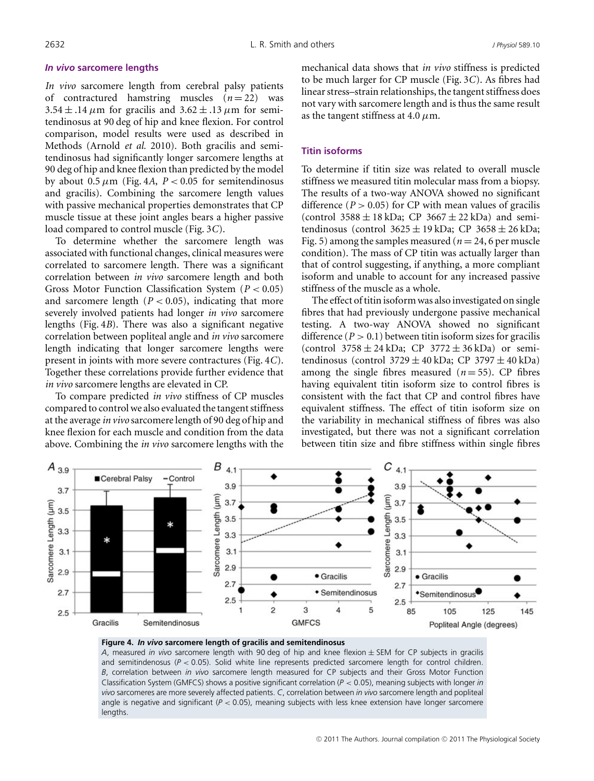# *In vivo* **sarcomere lengths**

*In vivo* sarcomere length from cerebral palsy patients of contractured hamstring muscles  $(n=22)$  was  $3.54 \pm .14 \,\mu m$  for gracilis and  $3.62 \pm .13 \,\mu m$  for semitendinosus at 90 deg of hip and knee flexion. For control comparison, model results were used as described in Methods (Arnold *et al.* 2010). Both gracilis and semitendinosus had significantly longer sarcomere lengths at 90 deg of hip and knee flexion than predicted by the model by about 0.5  $\mu$ m (Fig. 4*A*,  $P < 0.05$  for semitendinosus and gracilis). Combining the sarcomere length values with passive mechanical properties demonstrates that CP muscle tissue at these joint angles bears a higher passive load compared to control muscle (Fig. 3*C*).

To determine whether the sarcomere length was associated with functional changes, clinical measures were correlated to sarcomere length. There was a significant correlation between *in vivo* sarcomere length and both Gross Motor Function Classification System (*P* < 0.05) and sarcomere length  $(P < 0.05)$ , indicating that more severely involved patients had longer *in vivo* sarcomere lengths (Fig. 4*B*). There was also a significant negative correlation between popliteal angle and *in vivo* sarcomere length indicating that longer sarcomere lengths were present in joints with more severe contractures (Fig. 4*C*). Together these correlations provide further evidence that *in vivo* sarcomere lengths are elevated in CP.

To compare predicted *in vivo* stiffness of CP muscles compared to control we also evaluated the tangent stiffness at the average *in vivo* sarcomere length of 90 deg of hip and knee flexion for each muscle and condition from the data above. Combining the *in vivo* sarcomere lengths with the mechanical data shows that *in vivo* stiffness is predicted to be much larger for CP muscle (Fig. 3*C*). As fibres had linear stress–strain relationships, the tangent stiffness does not vary with sarcomere length and is thus the same result as the tangent stiffness at 4.0  $\mu$ m.

# **Titin isoforms**

To determine if titin size was related to overall muscle stiffness we measured titin molecular mass from a biopsy. The results of a two-way ANOVA showed no significant difference  $(P > 0.05)$  for CP with mean values of gracilis (control  $3588 \pm 18$  kDa; CP  $3667 \pm 22$  kDa) and semitendinosus (control  $3625 \pm 19$  kDa; CP  $3658 \pm 26$  kDa; Fig. 5) among the samples measured ( $n = 24$ , 6 per muscle condition). The mass of CP titin was actually larger than that of control suggesting, if anything, a more compliant isoform and unable to account for any increased passive stiffness of the muscle as a whole.

The effect of titin isoform was also investigated on single fibres that had previously undergone passive mechanical testing. A two-way ANOVA showed no significant difference  $(P > 0.1)$  between titin isoform sizes for gracilis (control  $3758 \pm 24$  kDa; CP  $3772 \pm 36$  kDa) or semitendinosus (control  $3729 \pm 40$  kDa; CP  $3797 \pm 40$  kDa) among the single fibres measured  $(n = 55)$ . CP fibres having equivalent titin isoform size to control fibres is consistent with the fact that CP and control fibres have equivalent stiffness. The effect of titin isoform size on the variability in mechanical stiffness of fibres was also investigated, but there was not a significant correlation between titin size and fibre stiffness within single fibres





*A*, measured *in vivo* sarcomere length with 90 deg of hip and knee flexion ± SEM for CP subjects in gracilis and semitindenosus  $(P < 0.05)$ . Solid white line represents predicted sarcomere length for control children. *B*, correlation between *in vivo* sarcomere length measured for CP subjects and their Gross Motor Function Classification System (GMFCS) shows a positive significant correlation (*P* < 0.05), meaning subjects with longer *in vivo* sarcomeres are more severely affected patients. *C*, correlation between *in vivo* sarcomere length and popliteal angle is negative and significant (*P* < 0.05), meaning subjects with less knee extension have longer sarcomere lengths.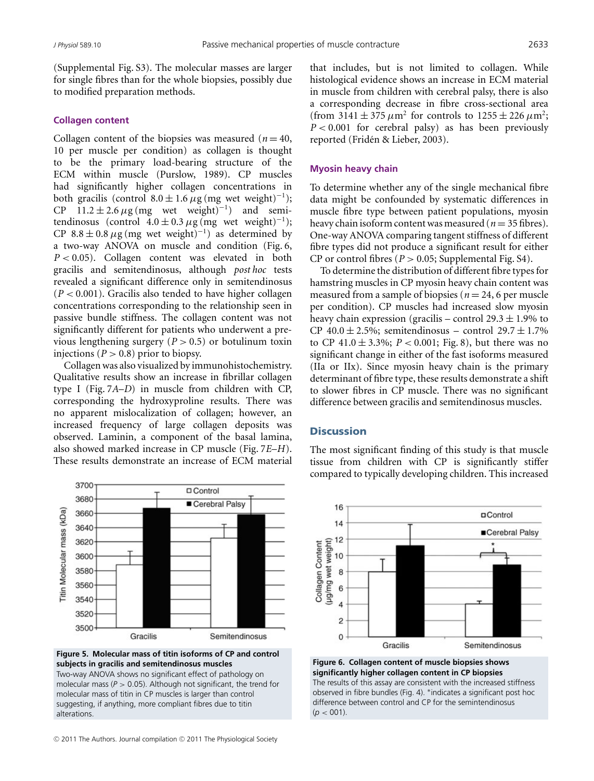(Supplemental Fig. S3). The molecular masses are larger for single fibres than for the whole biopsies, possibly due to modified preparation methods.

# **Collagen content**

Collagen content of the biopsies was measured ( $n = 40$ , 10 per muscle per condition) as collagen is thought to be the primary load-bearing structure of the ECM within muscle (Purslow, 1989). CP muscles had significantly higher collagen concentrations in both gracilis (control  $8.0 \pm 1.6 \,\mu$ g (mg wet weight)<sup>-1</sup>); CP 11.2  $\pm$  2.6  $\mu$ g (mg wet weight)<sup>-1</sup>) and semitendinosus (control  $4.0 \pm 0.3 \mu$ g (mg wet weight)<sup>-1</sup>); CP 8.8 ± 0.8  $\mu$ g (mg wet weight)<sup>-1</sup>) as determined by a two-way ANOVA on muscle and condition (Fig. 6, *P* < 0.05). Collagen content was elevated in both gracilis and semitendinosus, although *post hoc* tests revealed a significant difference only in semitendinosus  $(P < 0.001)$ . Gracilis also tended to have higher collagen concentrations corresponding to the relationship seen in passive bundle stiffness. The collagen content was not significantly different for patients who underwent a previous lengthening surgery  $(P > 0.5)$  or botulinum toxin injections ( $P > 0.8$ ) prior to biopsy.

Collagen was also visualized by immunohistochemistry. Qualitative results show an increase in fibrillar collagen type I (Fig. 7*A*–*D*) in muscle from children with CP, corresponding the hydroxyproline results. There was no apparent mislocalization of collagen; however, an increased frequency of large collagen deposits was observed. Laminin, a component of the basal lamina, also showed marked increase in CP muscle (Fig. 7*E*–*H*). These results demonstrate an increase of ECM material



**Figure 5. Molecular mass of titin isoforms of CP and control subjects in gracilis and semitendinosus muscles**

Two-way ANOVA shows no significant effect of pathology on molecular mass ( $P > 0.05$ ). Although not significant, the trend for molecular mass of titin in CP muscles is larger than control suggesting, if anything, more compliant fibres due to titin alterations.

that includes, but is not limited to collagen. While histological evidence shows an increase in ECM material in muscle from children with cerebral palsy, there is also a corresponding decrease in fibre cross-sectional area (from 3141  $\pm$  375  $\mu$ m<sup>2</sup> for controls to 1255  $\pm$  226  $\mu$ m<sup>2</sup>;  $P < 0.001$  for cerebral palsy) as has been previously reported (Fridén & Lieber, 2003).

#### **Myosin heavy chain**

To determine whether any of the single mechanical fibre data might be confounded by systematic differences in muscle fibre type between patient populations, myosin heavy chain isoform content was measured (*n* = 35 fibres). One-way ANOVA comparing tangent stiffness of different fibre types did not produce a significant result for either CP or control fibres (*P* > 0.05; Supplemental Fig. S4).

To determine the distribution of different fibre types for hamstring muscles in CP myosin heavy chain content was measured from a sample of biopsies (*n* = 24, 6 per muscle per condition). CP muscles had increased slow myosin heavy chain expression (gracilis – control 29.3  $\pm$  1.9% to CP 40.0  $\pm$  2.5%; semitendinosus – control 29.7  $\pm$  1.7% to CP 41.0  $\pm$  3.3%; *P* < 0.001; Fig. 8), but there was no significant change in either of the fast isoforms measured (IIa or IIx). Since myosin heavy chain is the primary determinant of fibre type, these results demonstrate a shift to slower fibres in CP muscle. There was no significant difference between gracilis and semitendinosus muscles.

# **Discussion**

The most significant finding of this study is that muscle tissue from children with CP is significantly stiffer compared to typically developing children. This increased



**Figure 6. Collagen content of muscle biopsies shows significantly higher collagen content in CP biopsies** The results of this assay are consistent with the increased stiffness observed in fibre bundles (Fig. 4). ∗indicates a significant post hoc difference between control and CP for the semintendinosus  $(p < 001)$ .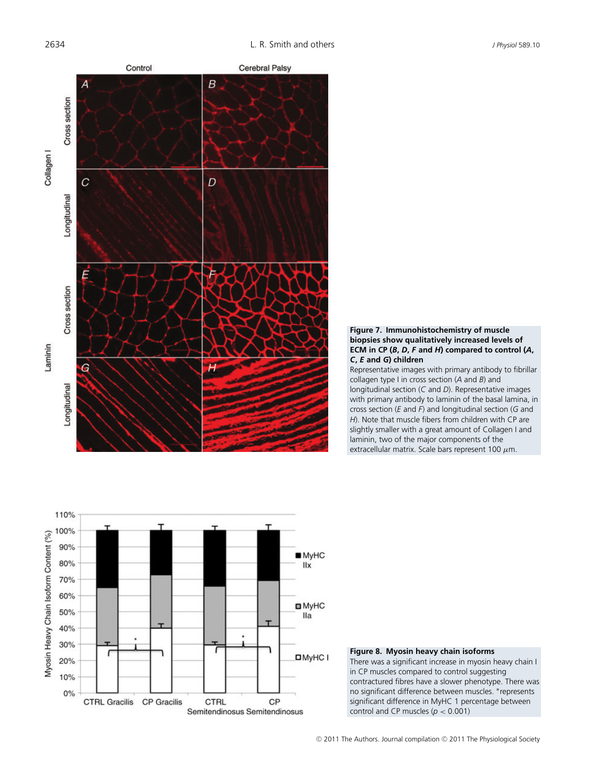

#### **Figure 7. Immunohistochemistry of muscle biopsies show qualitatively increased levels of ECM in CP (***B***,** *D***,** *F* **and** *H***) compared to control (***A***,** *C***,** *E* **and** *G***) children**

Representative images with primary antibody to fibrillar collagen type I in cross section (*A* and *B*) and longitudinal section (*C* and *D*). Representative images with primary antibody to laminin of the basal lamina, in cross section (*E* and *F*) and longitudinal section (*G* and *H*). Note that muscle fibers from children with CP are slightly smaller with a great amount of Collagen I and laminin, two of the major components of the extracellular matrix. Scale bars represent 100  $\mu$ m.



#### **Figure 8. Myosin heavy chain isoforms** There was a significant increase in myosin heavy chain I in CP muscles compared to control suggesting

contractured fibres have a slower phenotype. There was no significant difference between muscles. ∗represents significant difference in MyHC 1 percentage between control and CP muscles (*p* < 0.001)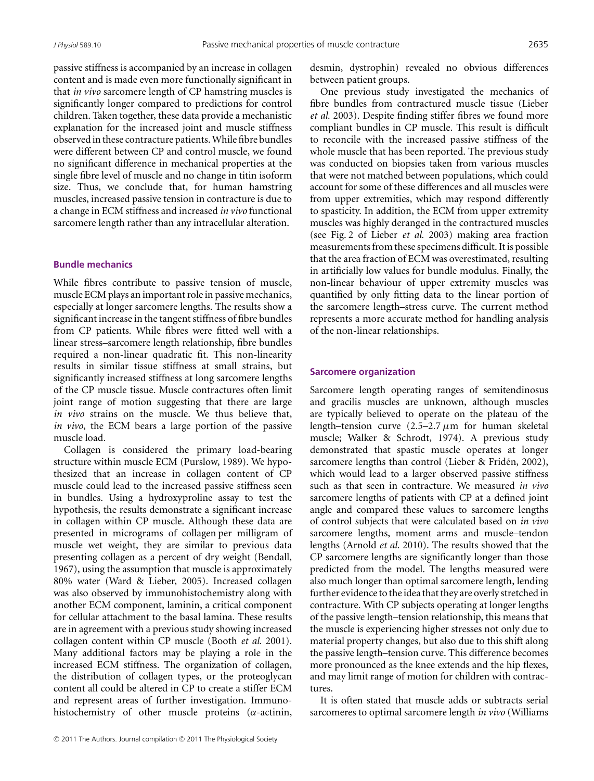passive stiffness is accompanied by an increase in collagen content and is made even more functionally significant in that *in vivo* sarcomere length of CP hamstring muscles is significantly longer compared to predictions for control children. Taken together, these data provide a mechanistic explanation for the increased joint and muscle stiffness observed in these contracture patients.While fibre bundles were different between CP and control muscle, we found no significant difference in mechanical properties at the single fibre level of muscle and no change in titin isoform size. Thus, we conclude that, for human hamstring muscles, increased passive tension in contracture is due to a change in ECM stiffness and increased *in vivo* functional sarcomere length rather than any intracellular alteration.

# **Bundle mechanics**

While fibres contribute to passive tension of muscle, muscle ECM plays an important role in passive mechanics, especially at longer sarcomere lengths. The results show a significant increase in the tangent stiffness of fibre bundles from CP patients. While fibres were fitted well with a linear stress–sarcomere length relationship, fibre bundles required a non-linear quadratic fit. This non-linearity results in similar tissue stiffness at small strains, but significantly increased stiffness at long sarcomere lengths of the CP muscle tissue. Muscle contractures often limit joint range of motion suggesting that there are large *in vivo* strains on the muscle. We thus believe that, *in vivo*, the ECM bears a large portion of the passive muscle load.

Collagen is considered the primary load-bearing structure within muscle ECM (Purslow, 1989). We hypothesized that an increase in collagen content of CP muscle could lead to the increased passive stiffness seen in bundles. Using a hydroxyproline assay to test the hypothesis, the results demonstrate a significant increase in collagen within CP muscle. Although these data are presented in micrograms of collagen per milligram of muscle wet weight, they are similar to previous data presenting collagen as a percent of dry weight (Bendall, 1967), using the assumption that muscle is approximately 80% water (Ward & Lieber, 2005). Increased collagen was also observed by immunohistochemistry along with another ECM component, laminin, a critical component for cellular attachment to the basal lamina. These results are in agreement with a previous study showing increased collagen content within CP muscle (Booth *et al.* 2001). Many additional factors may be playing a role in the increased ECM stiffness. The organization of collagen, the distribution of collagen types, or the proteoglycan content all could be altered in CP to create a stiffer ECM and represent areas of further investigation. Immunohistochemistry of other muscle proteins  $(\alpha$ -actinin, desmin, dystrophin) revealed no obvious differences between patient groups.

One previous study investigated the mechanics of fibre bundles from contractured muscle tissue (Lieber *et al.* 2003). Despite finding stiffer fibres we found more compliant bundles in CP muscle. This result is difficult to reconcile with the increased passive stiffness of the whole muscle that has been reported. The previous study was conducted on biopsies taken from various muscles that were not matched between populations, which could account for some of these differences and all muscles were from upper extremities, which may respond differently to spasticity. In addition, the ECM from upper extremity muscles was highly deranged in the contractured muscles (see Fig. 2 of Lieber *et al.* 2003) making area fraction measurements from these specimens difficult. It is possible that the area fraction of ECM was overestimated, resulting in artificially low values for bundle modulus. Finally, the non-linear behaviour of upper extremity muscles was quantified by only fitting data to the linear portion of the sarcomere length–stress curve. The current method represents a more accurate method for handling analysis of the non-linear relationships.

#### **Sarcomere organization**

Sarcomere length operating ranges of semitendinosus and gracilis muscles are unknown, although muscles are typically believed to operate on the plateau of the length–tension curve  $(2.5-2.7 \mu m)$  for human skeletal muscle; Walker & Schrodt, 1974). A previous study demonstrated that spastic muscle operates at longer sarcomere lengths than control (Lieber & Fridén, 2002), which would lead to a larger observed passive stiffness such as that seen in contracture. We measured *in vivo* sarcomere lengths of patients with CP at a defined joint angle and compared these values to sarcomere lengths of control subjects that were calculated based on *in vivo* sarcomere lengths, moment arms and muscle–tendon lengths (Arnold *et al.* 2010). The results showed that the CP sarcomere lengths are significantly longer than those predicted from the model. The lengths measured were also much longer than optimal sarcomere length, lending further evidence to the idea that they are overly stretched in contracture. With CP subjects operating at longer lengths of the passive length–tension relationship, this means that the muscle is experiencing higher stresses not only due to material property changes, but also due to this shift along the passive length–tension curve. This difference becomes more pronounced as the knee extends and the hip flexes, and may limit range of motion for children with contractures.

It is often stated that muscle adds or subtracts serial sarcomeres to optimal sarcomere length *in vivo* (Williams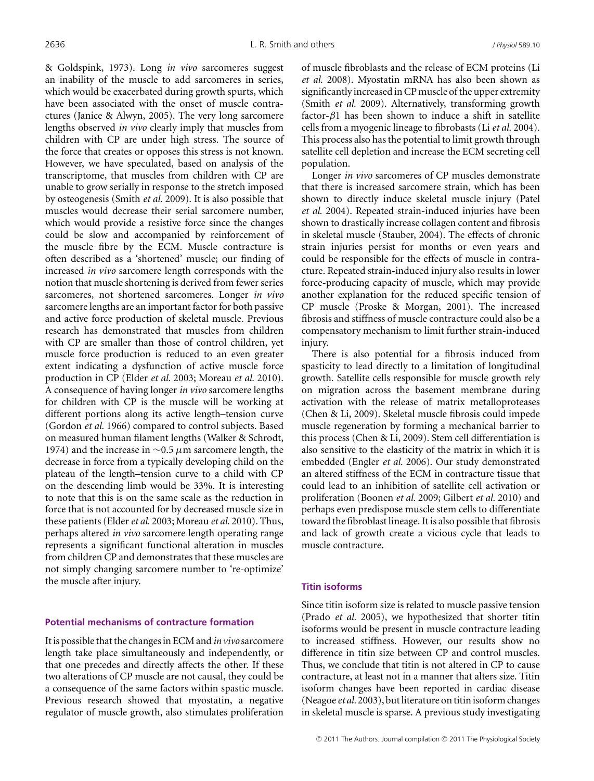& Goldspink, 1973). Long *in vivo* sarcomeres suggest an inability of the muscle to add sarcomeres in series, which would be exacerbated during growth spurts, which have been associated with the onset of muscle contractures (Janice & Alwyn, 2005). The very long sarcomere lengths observed *in vivo* clearly imply that muscles from children with CP are under high stress. The source of the force that creates or opposes this stress is not known. However, we have speculated, based on analysis of the transcriptome, that muscles from children with CP are unable to grow serially in response to the stretch imposed by osteogenesis (Smith *et al.* 2009). It is also possible that muscles would decrease their serial sarcomere number, which would provide a resistive force since the changes could be slow and accompanied by reinforcement of the muscle fibre by the ECM. Muscle contracture is often described as a 'shortened' muscle; our finding of increased *in vivo* sarcomere length corresponds with the notion that muscle shortening is derived from fewer series sarcomeres, not shortened sarcomeres. Longer *in vivo* sarcomere lengths are an important factor for both passive and active force production of skeletal muscle. Previous research has demonstrated that muscles from children with CP are smaller than those of control children, yet muscle force production is reduced to an even greater extent indicating a dysfunction of active muscle force production in CP (Elder *et al.* 2003; Moreau *et al.* 2010). A consequence of having longer *in vivo* sarcomere lengths for children with CP is the muscle will be working at different portions along its active length–tension curve (Gordon *et al.* 1966) compared to control subjects. Based on measured human filament lengths (Walker & Schrodt, 1974) and the increase in  $\sim$ 0.5  $\mu$ m sarcomere length, the decrease in force from a typically developing child on the plateau of the length–tension curve to a child with CP on the descending limb would be 33%. It is interesting to note that this is on the same scale as the reduction in force that is not accounted for by decreased muscle size in these patients (Elder*et al.* 2003; Moreau *et al.* 2010). Thus, perhaps altered *in vivo* sarcomere length operating range represents a significant functional alteration in muscles from children CP and demonstrates that these muscles are not simply changing sarcomere number to 're-optimize' the muscle after injury.

# **Potential mechanisms of contracture formation**

It is possible that the changes in ECM and *in vivo* sarcomere length take place simultaneously and independently, or that one precedes and directly affects the other. If these two alterations of CP muscle are not causal, they could be a consequence of the same factors within spastic muscle. Previous research showed that myostatin, a negative regulator of muscle growth, also stimulates proliferation of muscle fibroblasts and the release of ECM proteins (Li *et al.* 2008). Myostatin mRNA has also been shown as significantly increased in CP muscle of the upper extremity (Smith *et al.* 2009). Alternatively, transforming growth factor- $\beta$ 1 has been shown to induce a shift in satellite cells from a myogenic lineage to fibrobasts (Li *et al.* 2004). This process also has the potential to limit growth through satellite cell depletion and increase the ECM secreting cell population.

Longer *in vivo* sarcomeres of CP muscles demonstrate that there is increased sarcomere strain, which has been shown to directly induce skeletal muscle injury (Patel *et al.* 2004). Repeated strain-induced injuries have been shown to drastically increase collagen content and fibrosis in skeletal muscle (Stauber, 2004). The effects of chronic strain injuries persist for months or even years and could be responsible for the effects of muscle in contracture. Repeated strain-induced injury also results in lower force-producing capacity of muscle, which may provide another explanation for the reduced specific tension of CP muscle (Proske & Morgan, 2001). The increased fibrosis and stiffness of muscle contracture could also be a compensatory mechanism to limit further strain-induced injury.

There is also potential for a fibrosis induced from spasticity to lead directly to a limitation of longitudinal growth. Satellite cells responsible for muscle growth rely on migration across the basement membrane during activation with the release of matrix metalloproteases (Chen & Li, 2009). Skeletal muscle fibrosis could impede muscle regeneration by forming a mechanical barrier to this process (Chen & Li, 2009). Stem cell differentiation is also sensitive to the elasticity of the matrix in which it is embedded (Engler *et al.* 2006). Our study demonstrated an altered stiffness of the ECM in contracture tissue that could lead to an inhibition of satellite cell activation or proliferation (Boonen *et al.* 2009; Gilbert *et al.* 2010) and perhaps even predispose muscle stem cells to differentiate toward the fibroblast lineage. It is also possible that fibrosis and lack of growth create a vicious cycle that leads to muscle contracture.

# **Titin isoforms**

Since titin isoform size is related to muscle passive tension (Prado *et al.* 2005), we hypothesized that shorter titin isoforms would be present in muscle contracture leading to increased stiffness. However, our results show no difference in titin size between CP and control muscles. Thus, we conclude that titin is not altered in CP to cause contracture, at least not in a manner that alters size. Titin isoform changes have been reported in cardiac disease (Neagoe *et al.* 2003), but literature on titin isoform changes in skeletal muscle is sparse. A previous study investigating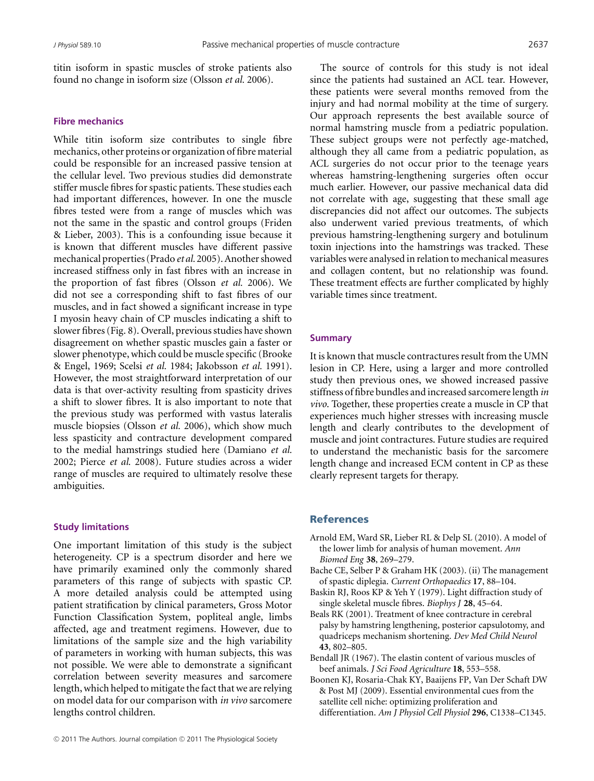titin isoform in spastic muscles of stroke patients also found no change in isoform size (Olsson *et al.* 2006).

# **Fibre mechanics**

While titin isoform size contributes to single fibre mechanics, other proteins or organization of fibre material could be responsible for an increased passive tension at the cellular level. Two previous studies did demonstrate stiffer muscle fibres for spastic patients. These studies each had important differences, however. In one the muscle fibres tested were from a range of muscles which was not the same in the spastic and control groups (Friden & Lieber, 2003). This is a confounding issue because it is known that different muscles have different passive mechanical properties (Prado *et al.* 2005). Another showed increased stiffness only in fast fibres with an increase in the proportion of fast fibres (Olsson *et al.* 2006). We did not see a corresponding shift to fast fibres of our muscles, and in fact showed a significant increase in type I myosin heavy chain of CP muscles indicating a shift to slower fibres (Fig. 8). Overall, previous studies have shown disagreement on whether spastic muscles gain a faster or slower phenotype, which could be muscle specific (Brooke & Engel, 1969; Scelsi *et al.* 1984; Jakobsson *et al.* 1991). However, the most straightforward interpretation of our data is that over-activity resulting from spasticity drives a shift to slower fibres. It is also important to note that the previous study was performed with vastus lateralis muscle biopsies (Olsson *et al.* 2006), which show much less spasticity and contracture development compared to the medial hamstrings studied here (Damiano *et al.* 2002; Pierce *et al.* 2008). Future studies across a wider range of muscles are required to ultimately resolve these ambiguities.

#### **Study limitations**

One important limitation of this study is the subject heterogeneity. CP is a spectrum disorder and here we have primarily examined only the commonly shared parameters of this range of subjects with spastic CP. A more detailed analysis could be attempted using patient stratification by clinical parameters, Gross Motor Function Classification System, popliteal angle, limbs affected, age and treatment regimens. However, due to limitations of the sample size and the high variability of parameters in working with human subjects, this was not possible. We were able to demonstrate a significant correlation between severity measures and sarcomere length, which helped to mitigate the fact that we are relying on model data for our comparison with *in vivo* sarcomere lengths control children.

The source of controls for this study is not ideal since the patients had sustained an ACL tear. However, these patients were several months removed from the injury and had normal mobility at the time of surgery. Our approach represents the best available source of normal hamstring muscle from a pediatric population. These subject groups were not perfectly age-matched, although they all came from a pediatric population, as ACL surgeries do not occur prior to the teenage years whereas hamstring-lengthening surgeries often occur much earlier. However, our passive mechanical data did not correlate with age, suggesting that these small age discrepancies did not affect our outcomes. The subjects also underwent varied previous treatments, of which previous hamstring-lengthening surgery and botulinum toxin injections into the hamstrings was tracked. These variables were analysed in relation to mechanical measures and collagen content, but no relationship was found. These treatment effects are further complicated by highly variable times since treatment.

#### **Summary**

It is known that muscle contractures result from the UMN lesion in CP. Here, using a larger and more controlled study then previous ones, we showed increased passive stiffness of fibre bundles and increased sarcomere length *in vivo*. Together, these properties create a muscle in CP that experiences much higher stresses with increasing muscle length and clearly contributes to the development of muscle and joint contractures. Future studies are required to understand the mechanistic basis for the sarcomere length change and increased ECM content in CP as these clearly represent targets for therapy.

# References

- Arnold EM, Ward SR, Lieber RL & Delp SL (2010). A model of the lower limb for analysis of human movement. *Ann Biomed Eng* **38**, 269–279.
- Bache CE, Selber P & Graham HK (2003). (ii) The management of spastic diplegia. *Current Orthopaedics* **17**, 88–104.
- Baskin RJ, Roos KP & Yeh Y (1979). Light diffraction study of single skeletal muscle fibres. *Biophys J* **28**, 45–64.
- Beals RK (2001). Treatment of knee contracture in cerebral palsy by hamstring lengthening, posterior capsulotomy, and quadriceps mechanism shortening. *Dev Med Child Neurol* **43**, 802–805.
- Bendall JR (1967). The elastin content of various muscles of beef animals. *J Sci Food Agriculture* **18**, 553–558.
- Boonen KJ, Rosaria-Chak KY, Baaijens FP, Van Der Schaft DW & Post MJ (2009). Essential environmental cues from the satellite cell niche: optimizing proliferation and differentiation. *Am J Physiol Cell Physiol* **296**, C1338–C1345.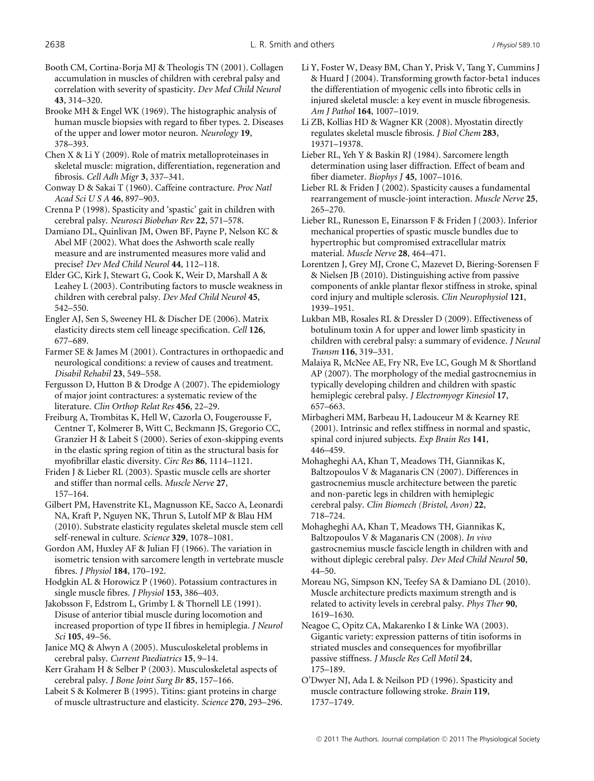Booth CM, Cortina-Borja MJ & Theologis TN (2001). Collagen accumulation in muscles of children with cerebral palsy and correlation with severity of spasticity. *Dev Med Child Neurol* **43**, 314–320.

Brooke MH & Engel WK (1969). The histographic analysis of human muscle biopsies with regard to fiber types. 2. Diseases of the upper and lower motor neuron. *Neurology* **19**, 378–393.

Chen X & Li Y (2009). Role of matrix metalloproteinases in skeletal muscle: migration, differentiation, regeneration and fibrosis. *Cell Adh Migr* **3**, 337–341.

Conway D & Sakai T (1960). Caffeine contracture. *Proc Natl Acad Sci U S A* **46**, 897–903.

Crenna P (1998). Spasticity and 'spastic' gait in children with cerebral palsy. *Neurosci Biobehav Rev* **22**, 571–578.

Damiano DL, Quinlivan JM, Owen BF, Payne P, Nelson KC & Abel MF (2002). What does the Ashworth scale really measure and are instrumented measures more valid and precise? *Dev Med Child Neurol* **44**, 112–118.

Elder GC, Kirk J, Stewart G, Cook K, Weir D, Marshall A & Leahey L (2003). Contributing factors to muscle weakness in children with cerebral palsy. *Dev Med Child Neurol* **45**, 542–550.

Engler AJ, Sen S, Sweeney HL & Discher DE (2006). Matrix elasticity directs stem cell lineage specification. *Cell* **126**, 677–689.

Farmer SE & James M (2001). Contractures in orthopaedic and neurological conditions: a review of causes and treatment. *Disabil Rehabil* **23**, 549–558.

Fergusson D, Hutton B & Drodge A (2007). The epidemiology of major joint contractures: a systematic review of the literature. *Clin Orthop Relat Res* **456**, 22–29.

Freiburg A, Trombitas K, Hell W, Cazorla O, Fougerousse F, Centner T, Kolmerer B, Witt C, Beckmann JS, Gregorio CC, Granzier H & Labeit S (2000). Series of exon-skipping events in the elastic spring region of titin as the structural basis for myofibrillar elastic diversity. *Circ Res* **86**, 1114–1121.

Friden J & Lieber RL (2003). Spastic muscle cells are shorter and stiffer than normal cells. *Muscle Nerve* **27**, 157–164.

Gilbert PM, Havenstrite KL, Magnusson KE, Sacco A, Leonardi NA, Kraft P, Nguyen NK, Thrun S, Lutolf MP & Blau HM (2010). Substrate elasticity regulates skeletal muscle stem cell self-renewal in culture. *Science* **329**, 1078–1081.

Gordon AM, Huxley AF & Julian FJ (1966). The variation in isometric tension with sarcomere length in vertebrate muscle fibres. *J Physiol* **184**, 170–192.

Hodgkin AL & Horowicz P (1960). Potassium contractures in single muscle fibres. *J Physiol* **153**, 386–403.

Jakobsson F, Edstrom L, Grimby L & Thornell LE (1991). Disuse of anterior tibial muscle during locomotion and increased proportion of type II fibres in hemiplegia. *J Neurol Sci* **105**, 49–56.

Janice MQ & Alwyn A (2005). Musculoskeletal problems in cerebral palsy. *Current Paediatrics* **15**, 9–14.

Kerr Graham H & Selber P (2003). Musculoskeletal aspects of cerebral palsy. *J Bone Joint Surg Br* **85**, 157–166.

Labeit S & Kolmerer B (1995). Titins: giant proteins in charge of muscle ultrastructure and elasticity. *Science* **270**, 293–296. Li Y, Foster W, Deasy BM, Chan Y, Prisk V, Tang Y, Cummins J & Huard J (2004). Transforming growth factor-beta1 induces the differentiation of myogenic cells into fibrotic cells in injured skeletal muscle: a key event in muscle fibrogenesis. *Am J Pathol* **164**, 1007–1019.

Li ZB, Kollias HD & Wagner KR (2008). Myostatin directly regulates skeletal muscle fibrosis. *J Biol Chem* **283**, 19371–19378.

Lieber RL, Yeh Y & Baskin RJ (1984). Sarcomere length determination using laser diffraction. Effect of beam and fiber diameter. *Biophys J* **45**, 1007–1016.

Lieber RL & Friden J (2002). Spasticity causes a fundamental rearrangement of muscle-joint interaction. *Muscle Nerve* **25**, 265–270.

Lieber RL, Runesson E, Einarsson F & Friden J (2003). Inferior mechanical properties of spastic muscle bundles due to hypertrophic but compromised extracellular matrix material. *Muscle Nerve* **28**, 464–471.

Lorentzen J, Grey MJ, Crone C, Mazevet D, Biering-Sorensen F & Nielsen JB (2010). Distinguishing active from passive components of ankle plantar flexor stiffness in stroke, spinal cord injury and multiple sclerosis. *Clin Neurophysiol* **121**, 1939–1951.

Lukban MB, Rosales RL & Dressler D (2009). Effectiveness of botulinum toxin A for upper and lower limb spasticity in children with cerebral palsy: a summary of evidence. *J Neural Transm* **116**, 319–331.

Malaiya R, McNee AE, Fry NR, Eve LC, Gough M & Shortland AP (2007). The morphology of the medial gastrocnemius in typically developing children and children with spastic hemiplegic cerebral palsy. *J Electromyogr Kinesiol* **17**, 657–663.

Mirbagheri MM, Barbeau H, Ladouceur M & Kearney RE (2001). Intrinsic and reflex stiffness in normal and spastic, spinal cord injured subjects. *Exp Brain Res* **141**, 446–459.

Mohagheghi AA, Khan T, Meadows TH, Giannikas K, Baltzopoulos V & Maganaris CN (2007). Differences in gastrocnemius muscle architecture between the paretic and non-paretic legs in children with hemiplegic cerebral palsy. *Clin Biomech (Bristol, Avon)* **22**, 718–724.

Mohagheghi AA, Khan T, Meadows TH, Giannikas K, Baltzopoulos V & Maganaris CN (2008). *In vivo* gastrocnemius muscle fascicle length in children with and without diplegic cerebral palsy. *Dev Med Child Neurol* **50**, 44–50.

Moreau NG, Simpson KN, Teefey SA & Damiano DL (2010). Muscle architecture predicts maximum strength and is related to activity levels in cerebral palsy. *Phys Ther* **90**, 1619–1630.

Neagoe C, Opitz CA, Makarenko I & Linke WA (2003). Gigantic variety: expression patterns of titin isoforms in striated muscles and consequences for myofibrillar passive stiffness. *J Muscle Res Cell Motil* **24**, 175–189.

O'Dwyer NJ, Ada L & Neilson PD (1996). Spasticity and muscle contracture following stroke. *Brain* **119**, 1737–1749.